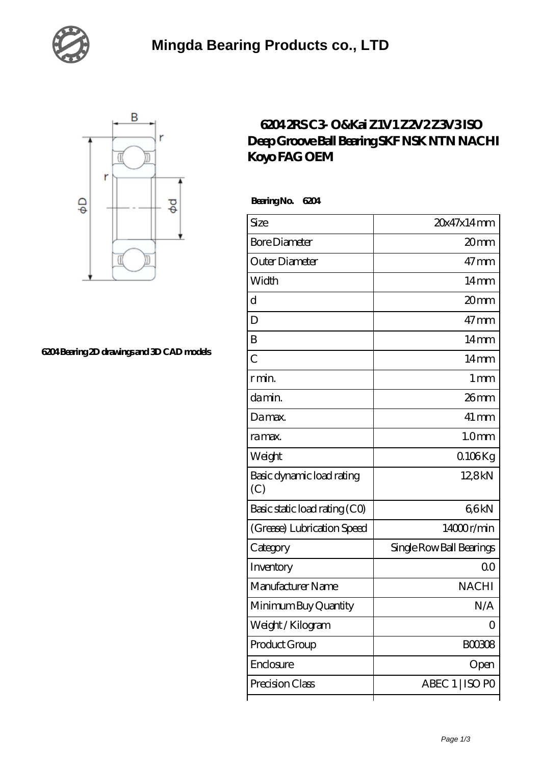



## **[6204 Bearing 2D drawings and 3D CAD models](https://xnxse.com/pic-630663.html)**

## **[6204 2RS C3- O&Kai Z1V1 Z2V2 Z3V3 ISO](https://xnxse.com/sell-630663-6204-2rs-c3-o-kai-z1v1-z2v2-z3v3-iso-deep-groove-ball-bearing-skf-nsk-ntn-nachi-koyo-fag-oem.html) [Deep Groove Ball Bearing SKF NSK NTN NACHI](https://xnxse.com/sell-630663-6204-2rs-c3-o-kai-z1v1-z2v2-z3v3-iso-deep-groove-ball-bearing-skf-nsk-ntn-nachi-koyo-fag-oem.html) [Koyo FAG OEM](https://xnxse.com/sell-630663-6204-2rs-c3-o-kai-z1v1-z2v2-z3v3-iso-deep-groove-ball-bearing-skf-nsk-ntn-nachi-koyo-fag-oem.html)**

 **Bearing No. 6204**

| Size                             | 20x47x14mm               |
|----------------------------------|--------------------------|
| <b>Bore Diameter</b>             | 20 <sub>mm</sub>         |
| Outer Diameter                   | $47$ mm                  |
| Width                            | 14mm                     |
| d                                | 20 <sub>mm</sub>         |
| D                                | $47$ mm                  |
| B                                | 14 <sub>mm</sub>         |
| $\overline{C}$                   | 14 <sub>mm</sub>         |
| r min.                           | $1 \,\mathrm{mm}$        |
| da min.                          | 26mm                     |
| Damax.                           | $41 \,\mathrm{mm}$       |
| ra max.                          | 1.0 <sub>mm</sub>        |
| Weight                           | $0106$ Kg                |
| Basic dynamic load rating<br>(C) | 12,8kN                   |
| Basic static load rating (CO)    | 66kN                     |
| (Grease) Lubrication Speed       | 14000r/min               |
| Category                         | Single Row Ball Bearings |
| Inventory                        | 00                       |
| Manufacturer Name                | <b>NACHI</b>             |
| Minimum Buy Quantity             | N/A                      |
| Weight/Kilogram                  | 0                        |
| Product Group                    | BOO3O8                   |
| Enclosure                        | Open                     |
| Precision Class                  | ABEC 1   ISO PO          |
|                                  |                          |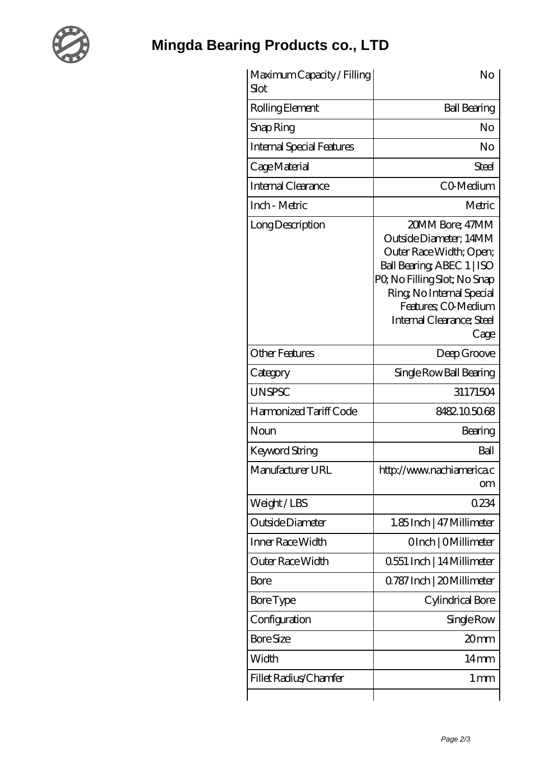

## **[Mingda Bearing Products co., LTD](https://xnxse.com)**

| Maximum Capacity / Filling<br>Slot | No                                                                                                                                                                                                                        |
|------------------------------------|---------------------------------------------------------------------------------------------------------------------------------------------------------------------------------------------------------------------------|
| Rolling Element                    | <b>Ball Bearing</b>                                                                                                                                                                                                       |
| Snap Ring                          | No                                                                                                                                                                                                                        |
| <b>Internal Special Features</b>   | No                                                                                                                                                                                                                        |
| Cage Material                      | Steel                                                                                                                                                                                                                     |
| Internal Clearance                 | CO-Medium                                                                                                                                                                                                                 |
| Inch - Metric                      | Metric                                                                                                                                                                                                                    |
| Long Description                   | 20MM Bore; 47MM<br>Outside Diameter; 14MM<br>Outer Race Width; Open;<br>Ball Bearing ABEC 1   ISO<br>PQ No Filling Slot; No Snap<br>Ring, No Internal Special<br>Features; CO-Medium<br>Internal Clearance; Steel<br>Cage |
| <b>Other Features</b>              | Deep Groove                                                                                                                                                                                                               |
| Category                           | Single Row Ball Bearing                                                                                                                                                                                                   |
| <b>UNSPSC</b>                      | 31171504                                                                                                                                                                                                                  |
| Harmonized Tariff Code             | 8482.105068                                                                                                                                                                                                               |
| Noun                               | Bearing                                                                                                                                                                                                                   |
| Keyword String                     | Ball                                                                                                                                                                                                                      |
| Manufacturer URL                   | http://www.nachiamerica.c<br>om                                                                                                                                                                                           |
| Weight/LBS                         | 0234                                                                                                                                                                                                                      |
| Outside Diameter                   | 1.85Inch   47 Millimeter                                                                                                                                                                                                  |
| Inner Race Width                   | OInch   OMillimeter                                                                                                                                                                                                       |
| Outer Race Width                   | 0551 Inch   14 Millimeter                                                                                                                                                                                                 |
| Bore                               | 0.787 Inch   20 Millimeter                                                                                                                                                                                                |
| <b>Bore Type</b>                   | Cylindrical Bore                                                                                                                                                                                                          |
| Configuration                      | Single Row                                                                                                                                                                                                                |
| <b>Bore Size</b>                   | 20mm                                                                                                                                                                                                                      |
| Width                              | 14mm                                                                                                                                                                                                                      |
| Fillet Radius/Chamfer              | $1 \,\mathrm{mm}$                                                                                                                                                                                                         |